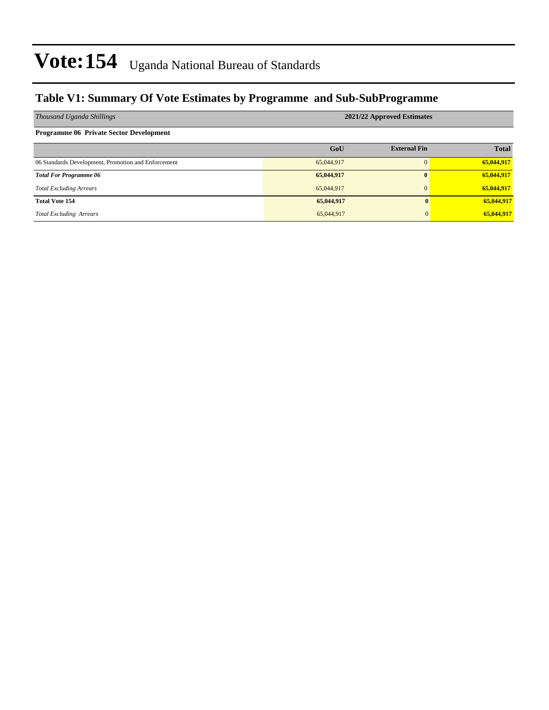#### **Table V1: Summary Of Vote Estimates by Programme and Sub-SubProgramme**

| Thousand Uganda Shillings                           | 2021/22 Approved Estimates |                     |              |  |  |  |  |  |
|-----------------------------------------------------|----------------------------|---------------------|--------------|--|--|--|--|--|
| <b>Programme 06 Private Sector Development</b>      |                            |                     |              |  |  |  |  |  |
|                                                     | GoU                        | <b>External Fin</b> | <b>Total</b> |  |  |  |  |  |
| 06 Standards Development, Promotion and Enforcement | 65,044,917                 |                     | 65,044,917   |  |  |  |  |  |
| <b>Total For Programme 06</b>                       | 65,044,917                 | $\mathbf{0}$        | 65,044,917   |  |  |  |  |  |
| <b>Total Excluding Arrears</b>                      | 65,044,917                 | $\Omega$            | 65,044,917   |  |  |  |  |  |
| <b>Total Vote 154</b>                               | 65,044,917                 | 0                   | 65,044,917   |  |  |  |  |  |
| <b>Total Excluding Arrears</b>                      | 65,044,917                 | $\Omega$            | 65,044,917   |  |  |  |  |  |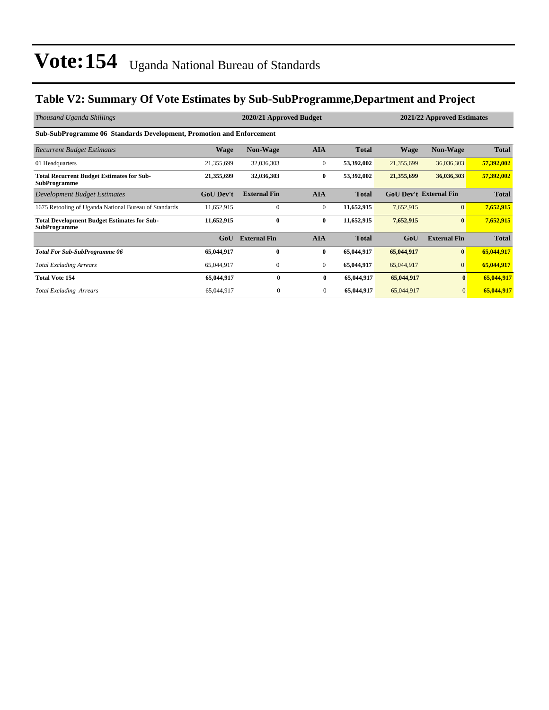### **Table V2: Summary Of Vote Estimates by Sub-SubProgramme,Department and Project**

| Thousand Uganda Shillings                                                   |                  | 2020/21 Approved Budget |                | 2021/22 Approved Estimates |             |                               |              |  |  |  |  |
|-----------------------------------------------------------------------------|------------------|-------------------------|----------------|----------------------------|-------------|-------------------------------|--------------|--|--|--|--|
| <b>Sub-SubProgramme 06 Standards Development, Promotion and Enforcement</b> |                  |                         |                |                            |             |                               |              |  |  |  |  |
| <b>Recurrent Budget Estimates</b>                                           | <b>Wage</b>      | <b>Non-Wage</b>         | <b>AIA</b>     | <b>Total</b>               | <b>Wage</b> | <b>Non-Wage</b>               | <b>Total</b> |  |  |  |  |
| 01 Headquarters                                                             | 21,355,699       | 32,036,303              | $\mathbf{0}$   | 53,392,002                 | 21,355,699  | 36,036,303                    | 57,392,002   |  |  |  |  |
| <b>Total Recurrent Budget Estimates for Sub-</b><br><b>SubProgramme</b>     | 21,355,699       | 32,036,303              | $\bf{0}$       | 53,392,002                 | 21,355,699  | 36,036,303                    | 57,392,002   |  |  |  |  |
| Development Budget Estimates                                                | <b>GoU Dev't</b> | <b>External Fin</b>     | <b>AIA</b>     | <b>Total</b>               |             | <b>GoU Dev't External Fin</b> | <b>Total</b> |  |  |  |  |
| 1675 Retooling of Uganda National Bureau of Standards                       | 11,652,915       | $\Omega$                | $\mathbf{0}$   | 11,652,915                 | 7,652,915   | $\overline{0}$                | 7,652,915    |  |  |  |  |
| <b>Total Development Budget Estimates for Sub-</b><br><b>SubProgramme</b>   | 11,652,915       | $\bf{0}$                | $\bf{0}$       | 11,652,915                 | 7,652,915   | $\bf{0}$                      | 7,652,915    |  |  |  |  |
|                                                                             | GoU              | <b>External Fin</b>     | <b>AIA</b>     | <b>Total</b>               | GoU         | <b>External Fin</b>           | <b>Total</b> |  |  |  |  |
| <b>Total For Sub-SubProgramme 06</b>                                        | 65,044,917       | $\mathbf{0}$            | $\bf{0}$       | 65,044,917                 | 65,044,917  | $\bf{0}$                      | 65,044,917   |  |  |  |  |
| <b>Total Excluding Arrears</b>                                              | 65,044,917       | $\mathbf{0}$            | $\mathbf{0}$   | 65,044,917                 | 65,044,917  | $\mathbf{0}$                  | 65,044,917   |  |  |  |  |
| <b>Total Vote 154</b>                                                       | 65,044,917       | $\mathbf{0}$            | $\bf{0}$       | 65,044,917                 | 65,044,917  | $\mathbf{0}$                  | 65,044,917   |  |  |  |  |
| <b>Total Excluding Arrears</b>                                              | 65,044,917       | $\mathbf{0}$            | $\overline{0}$ | 65,044,917                 | 65,044,917  | $\overline{0}$                | 65,044,917   |  |  |  |  |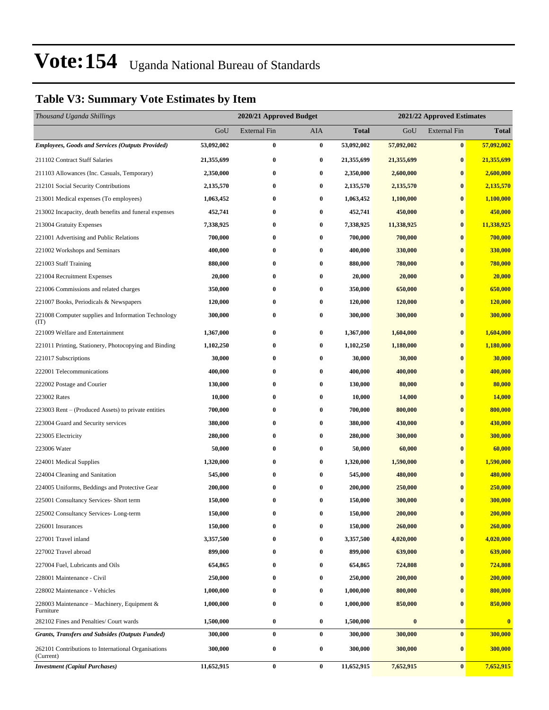### **Table V3: Summary Vote Estimates by Item**

| Thousand Uganda Shillings                                        |            | 2020/21 Approved Budget<br>2021/22 Approved Estimates |                  |              |            |                     |                |  |  |
|------------------------------------------------------------------|------------|-------------------------------------------------------|------------------|--------------|------------|---------------------|----------------|--|--|
|                                                                  | GoU        | External Fin                                          | AIA              | <b>Total</b> | GoU        | <b>External Fin</b> | <b>Total</b>   |  |  |
| <b>Employees, Goods and Services (Outputs Provided)</b>          | 53,092,002 | $\bf{0}$                                              | $\pmb{0}$        | 53,092,002   | 57,092,002 | $\bf{0}$            | 57,092,002     |  |  |
| 211102 Contract Staff Salaries                                   | 21,355,699 | $\bf{0}$                                              | $\bf{0}$         | 21,355,699   | 21,355,699 | $\bf{0}$            | 21,355,699     |  |  |
| 211103 Allowances (Inc. Casuals, Temporary)                      | 2,350,000  | $\bf{0}$                                              | $\boldsymbol{0}$ | 2,350,000    | 2,600,000  | $\bf{0}$            | 2,600,000      |  |  |
| 212101 Social Security Contributions                             | 2,135,570  | $\bf{0}$                                              | $\bf{0}$         | 2,135,570    | 2,135,570  | $\bf{0}$            | 2,135,570      |  |  |
| 213001 Medical expenses (To employees)                           | 1,063,452  | $\bf{0}$                                              | 0                | 1,063,452    | 1,100,000  | $\bf{0}$            | 1,100,000      |  |  |
| 213002 Incapacity, death benefits and funeral expenses           | 452,741    | $\bf{0}$                                              | $\boldsymbol{0}$ | 452,741      | 450,000    | $\bf{0}$            | 450,000        |  |  |
| 213004 Gratuity Expenses                                         | 7,338,925  | $\bf{0}$                                              | $\bf{0}$         | 7,338,925    | 11,338,925 | $\bf{0}$            | 11,338,925     |  |  |
| 221001 Advertising and Public Relations                          | 700,000    | $\bf{0}$                                              | $\bf{0}$         | 700,000      | 700,000    | $\bf{0}$            | 700,000        |  |  |
| 221002 Workshops and Seminars                                    | 400,000    | $\bf{0}$                                              | $\bf{0}$         | 400,000      | 330,000    | $\bf{0}$            | 330,000        |  |  |
| 221003 Staff Training                                            | 880,000    | $\bf{0}$                                              | $\bf{0}$         | 880,000      | 780,000    | $\bf{0}$            | 780,000        |  |  |
| 221004 Recruitment Expenses                                      | 20,000     | $\bf{0}$                                              | $\bf{0}$         | 20,000       | 20,000     | $\bf{0}$            | 20,000         |  |  |
| 221006 Commissions and related charges                           | 350,000    | $\bf{0}$                                              | $\bf{0}$         | 350,000      | 650,000    | $\bf{0}$            | 650,000        |  |  |
| 221007 Books, Periodicals & Newspapers                           | 120,000    | 0                                                     | $\boldsymbol{0}$ | 120,000      | 120,000    | $\bf{0}$            | <b>120,000</b> |  |  |
| 221008 Computer supplies and Information Technology<br>(TT)      | 300,000    | $\bf{0}$                                              | $\bf{0}$         | 300,000      | 300,000    | $\bf{0}$            | 300,000        |  |  |
| 221009 Welfare and Entertainment                                 | 1,367,000  | $\bf{0}$                                              | $\bf{0}$         | 1,367,000    | 1,604,000  | $\bf{0}$            | 1,604,000      |  |  |
| 221011 Printing, Stationery, Photocopying and Binding            | 1,102,250  | $\bf{0}$                                              | $\bf{0}$         | 1,102,250    | 1,180,000  | $\bf{0}$            | 1,180,000      |  |  |
| 221017 Subscriptions                                             | 30,000     | 0                                                     | $\bf{0}$         | 30,000       | 30,000     | $\bf{0}$            | 30,000         |  |  |
| 222001 Telecommunications                                        | 400,000    | $\bf{0}$                                              | $\bf{0}$         | 400,000      | 400,000    | $\bf{0}$            | 400,000        |  |  |
| 222002 Postage and Courier                                       | 130,000    | $\bf{0}$                                              | $\bf{0}$         | 130,000      | 80,000     | $\bf{0}$            | 80,000         |  |  |
| 223002 Rates                                                     | 10,000     | $\bf{0}$                                              | $\bf{0}$         | 10,000       | 14,000     | $\bf{0}$            | 14,000         |  |  |
| 223003 Rent – (Produced Assets) to private entities              | 700,000    | $\bf{0}$                                              | $\bf{0}$         | 700,000      | 800,000    | $\bf{0}$            | 800,000        |  |  |
| 223004 Guard and Security services                               | 380,000    | 0                                                     | $\bf{0}$         | 380,000      | 430,000    | $\bf{0}$            | 430,000        |  |  |
| 223005 Electricity                                               | 280,000    | $\bf{0}$                                              | $\bf{0}$         | 280,000      | 300,000    | $\bf{0}$            | 300,000        |  |  |
| 223006 Water                                                     | 50,000     | $\bf{0}$                                              | $\bf{0}$         | 50,000       | 60,000     | $\bf{0}$            | 60,000         |  |  |
| 224001 Medical Supplies                                          | 1,320,000  | $\bf{0}$                                              | $\bf{0}$         | 1,320,000    | 1,590,000  | $\bf{0}$            | 1,590,000      |  |  |
| 224004 Cleaning and Sanitation                                   | 545,000    | 0                                                     | $\bf{0}$         | 545,000      | 480,000    | $\bf{0}$            | 480,000        |  |  |
| 224005 Uniforms, Beddings and Protective Gear                    | 200,000    | 0                                                     | $\bf{0}$         | 200,000      | 250,000    | $\bf{0}$            | 250,000        |  |  |
| 225001 Consultancy Services- Short term                          | 150,000    | $\bf{0}$                                              | 0                | 150,000      | 300,000    | $\bf{0}$            | 300,000        |  |  |
| 225002 Consultancy Services-Long-term                            | 150,000    | $\bf{0}$                                              | $\bf{0}$         | 150,000      | 200,000    | $\bf{0}$            | 200,000        |  |  |
| 226001 Insurances                                                | 150,000    | 0                                                     | $\bf{0}$         | 150,000      | 260,000    | $\bf{0}$            | 260,000        |  |  |
| 227001 Travel inland                                             | 3,357,500  | $\bf{0}$                                              | $\bf{0}$         | 3,357,500    | 4,020,000  | $\bf{0}$            | 4,020,000      |  |  |
| 227002 Travel abroad                                             | 899,000    | 0                                                     | $\bf{0}$         | 899,000      | 639,000    | $\bf{0}$            | 639,000        |  |  |
| 227004 Fuel, Lubricants and Oils                                 | 654,865    | $\bf{0}$                                              | 0                | 654,865      | 724,808    | $\bf{0}$            | 724,808        |  |  |
| 228001 Maintenance - Civil                                       | 250,000    | 0                                                     | $\bf{0}$         | 250,000      | 200,000    | $\bf{0}$            | 200,000        |  |  |
| 228002 Maintenance - Vehicles                                    | 1,000,000  | $\bf{0}$                                              | $\bf{0}$         | 1,000,000    | 800,000    | $\bf{0}$            | 800,000        |  |  |
| 228003 Maintenance – Machinery, Equipment &<br>Furniture         | 1,000,000  | $\bf{0}$                                              | $\bf{0}$         | 1,000,000    | 850,000    | $\bf{0}$            | 850,000        |  |  |
| 282102 Fines and Penalties/ Court wards                          | 1,500,000  | $\bf{0}$                                              | $\bf{0}$         | 1,500,000    | $\bf{0}$   | $\bf{0}$            | $\bf{0}$       |  |  |
| <b>Grants, Transfers and Subsides (Outputs Funded)</b>           | 300,000    | $\bf{0}$                                              | $\bf{0}$         | 300,000      | 300,000    | $\bf{0}$            | 300,000        |  |  |
| 262101 Contributions to International Organisations<br>(Current) | 300,000    | $\bf{0}$                                              | $\bf{0}$         | 300,000      | 300,000    | $\bf{0}$            | 300,000        |  |  |
| <b>Investment (Capital Purchases)</b>                            | 11,652,915 | $\pmb{0}$                                             | $\bf{0}$         | 11,652,915   | 7,652,915  | $\bf{0}$            | 7,652,915      |  |  |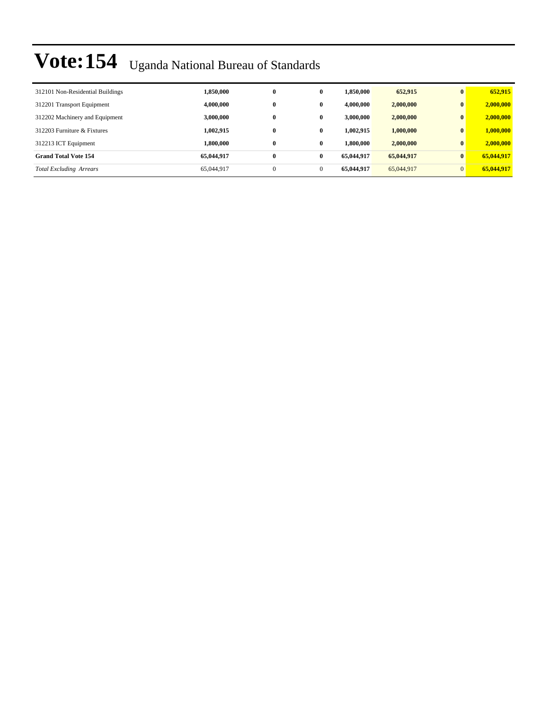| 312101 Non-Residential Buildings | 1,850,000  | $\bf{0}$ | $\bf{0}$     | 1,850,000  | 652,915    | $\mathbf{0}$ | 652,915    |
|----------------------------------|------------|----------|--------------|------------|------------|--------------|------------|
| 312201 Transport Equipment       | 4,000,000  | $\bf{0}$ | $\mathbf{0}$ | 4,000,000  | 2,000,000  | $\mathbf{0}$ | 2,000,000  |
| 312202 Machinery and Equipment   | 3,000,000  | $\bf{0}$ | 0            | 3,000,000  | 2,000,000  | $\mathbf{0}$ | 2,000,000  |
| 312203 Furniture & Fixtures      | 1.002.915  | $\bf{0}$ | $\bf{0}$     | 1.002.915  | 1,000,000  | $\mathbf{0}$ | 1,000,000  |
| 312213 ICT Equipment             | 1.800.000  | $\bf{0}$ | $\mathbf{0}$ | 1,800,000  | 2,000,000  | $\mathbf{0}$ | 2,000,000  |
| <b>Grand Total Vote 154</b>      | 65,044,917 | $\bf{0}$ | $\mathbf{0}$ | 65.044.917 | 65,044,917 | $\mathbf{0}$ | 65,044,917 |
| <b>Total Excluding Arrears</b>   | 65,044,917 | $\theta$ | $\Omega$     | 65,044,917 | 65,044,917 | $\Omega$     | 65,044,917 |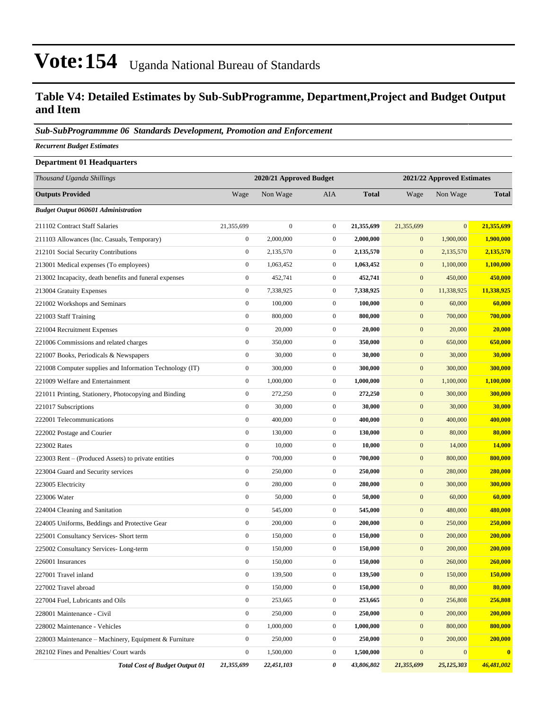#### **Table V4: Detailed Estimates by Sub-SubProgramme, Department,Project and Budget Output and Item**

#### *Sub-SubProgrammme 06 Standards Development, Promotion and Enforcement*

*Recurrent Budget Estimates*

| <b>Department 01 Headquarters</b>                        |                  |                         |                  |              |                  |                            |              |  |
|----------------------------------------------------------|------------------|-------------------------|------------------|--------------|------------------|----------------------------|--------------|--|
| Thousand Uganda Shillings                                |                  | 2020/21 Approved Budget |                  |              |                  | 2021/22 Approved Estimates |              |  |
| <b>Outputs Provided</b>                                  | Wage             | Non Wage                | AIA              | <b>Total</b> | Wage             | Non Wage                   | <b>Total</b> |  |
| <b>Budget Output 060601 Administration</b>               |                  |                         |                  |              |                  |                            |              |  |
| 211102 Contract Staff Salaries                           | 21,355,699       | $\boldsymbol{0}$        | $\mathbf{0}$     | 21,355,699   | 21,355,699       | $\mathbf{0}$               | 21,355,699   |  |
| 211103 Allowances (Inc. Casuals, Temporary)              | $\boldsymbol{0}$ | 2,000,000               | $\mathbf{0}$     | 2,000,000    | $\boldsymbol{0}$ | 1,900,000                  | 1,900,000    |  |
| 212101 Social Security Contributions                     | $\boldsymbol{0}$ | 2,135,570               | $\mathbf{0}$     | 2,135,570    | $\mathbf{0}$     | 2,135,570                  | 2,135,570    |  |
| 213001 Medical expenses (To employees)                   | $\boldsymbol{0}$ | 1,063,452               | $\mathbf{0}$     | 1,063,452    | $\boldsymbol{0}$ | 1,100,000                  | 1,100,000    |  |
| 213002 Incapacity, death benefits and funeral expenses   | $\boldsymbol{0}$ | 452,741                 | $\boldsymbol{0}$ | 452,741      | $\boldsymbol{0}$ | 450,000                    | 450,000      |  |
| 213004 Gratuity Expenses                                 | $\boldsymbol{0}$ | 7,338,925               | $\mathbf{0}$     | 7,338,925    | $\mathbf{0}$     | 11,338,925                 | 11,338,925   |  |
| 221002 Workshops and Seminars                            | $\boldsymbol{0}$ | 100,000                 | $\mathbf{0}$     | 100,000      | $\mathbf{0}$     | 60,000                     | 60,000       |  |
| 221003 Staff Training                                    | $\boldsymbol{0}$ | 800,000                 | $\mathbf{0}$     | 800,000      | $\mathbf{0}$     | 700,000                    | 700,000      |  |
| 221004 Recruitment Expenses                              | $\boldsymbol{0}$ | 20,000                  | $\mathbf{0}$     | 20,000       | $\mathbf{0}$     | 20,000                     | 20,000       |  |
| 221006 Commissions and related charges                   | $\boldsymbol{0}$ | 350,000                 | $\mathbf{0}$     | 350,000      | $\boldsymbol{0}$ | 650,000                    | 650,000      |  |
| 221007 Books, Periodicals & Newspapers                   | $\boldsymbol{0}$ | 30,000                  | $\mathbf{0}$     | 30,000       | $\boldsymbol{0}$ | 30,000                     | 30,000       |  |
| 221008 Computer supplies and Information Technology (IT) | $\boldsymbol{0}$ | 300,000                 | $\mathbf{0}$     | 300,000      | $\mathbf{0}$     | 300,000                    | 300,000      |  |
| 221009 Welfare and Entertainment                         | $\boldsymbol{0}$ | 1,000,000               | $\mathbf{0}$     | 1,000,000    | $\mathbf{0}$     | 1,100,000                  | 1,100,000    |  |
| 221011 Printing, Stationery, Photocopying and Binding    | $\boldsymbol{0}$ | 272,250                 | $\mathbf{0}$     | 272,250      | $\mathbf{0}$     | 300,000                    | 300,000      |  |
| 221017 Subscriptions                                     | $\boldsymbol{0}$ | 30,000                  | $\mathbf{0}$     | 30,000       | $\boldsymbol{0}$ | 30,000                     | 30,000       |  |
| 222001 Telecommunications                                | $\boldsymbol{0}$ | 400,000                 | $\mathbf{0}$     | 400,000      | $\boldsymbol{0}$ | 400,000                    | 400,000      |  |
| 222002 Postage and Courier                               | $\boldsymbol{0}$ | 130,000                 | $\mathbf{0}$     | 130,000      | $\mathbf{0}$     | 80,000                     | 80,000       |  |
| 223002 Rates                                             | $\boldsymbol{0}$ | 10,000                  | $\mathbf{0}$     | 10,000       | $\boldsymbol{0}$ | 14,000                     | 14,000       |  |
| 223003 Rent - (Produced Assets) to private entities      | $\boldsymbol{0}$ | 700,000                 | $\mathbf{0}$     | 700,000      | $\mathbf{0}$     | 800,000                    | 800,000      |  |
| 223004 Guard and Security services                       | $\boldsymbol{0}$ | 250,000                 | $\mathbf{0}$     | 250,000      | $\boldsymbol{0}$ | 280,000                    | 280,000      |  |
| 223005 Electricity                                       | $\boldsymbol{0}$ | 280,000                 | $\mathbf{0}$     | 280,000      | $\boldsymbol{0}$ | 300,000                    | 300,000      |  |
| 223006 Water                                             | $\boldsymbol{0}$ | 50,000                  | $\mathbf{0}$     | 50,000       | $\mathbf{0}$     | 60,000                     | 60,000       |  |
| 224004 Cleaning and Sanitation                           | $\boldsymbol{0}$ | 545,000                 | $\mathbf{0}$     | 545,000      | $\mathbf{0}$     | 480,000                    | 480,000      |  |
| 224005 Uniforms, Beddings and Protective Gear            | $\boldsymbol{0}$ | 200,000                 | $\mathbf{0}$     | 200,000      | $\mathbf{0}$     | 250,000                    | 250,000      |  |
| 225001 Consultancy Services- Short term                  | $\boldsymbol{0}$ | 150,000                 | $\mathbf{0}$     | 150,000      | $\mathbf{0}$     | 200,000                    | 200,000      |  |
| 225002 Consultancy Services-Long-term                    | $\boldsymbol{0}$ | 150,000                 | $\mathbf{0}$     | 150,000      | $\mathbf{0}$     | 200,000                    | 200,000      |  |
| 226001 Insurances                                        | $\boldsymbol{0}$ | 150,000                 | $\boldsymbol{0}$ | 150,000      | $\boldsymbol{0}$ | 260,000                    | 260,000      |  |
| 227001 Travel inland                                     | $\boldsymbol{0}$ | 139,500                 | $\mathbf{0}$     | 139,500      | $\mathbf{0}$     | 150,000                    | 150,000      |  |
| 227002 Travel abroad                                     | $\boldsymbol{0}$ | 150,000                 | $\boldsymbol{0}$ | 150,000      | $\mathbf{0}$     | 80,000                     | 80,000       |  |
| 227004 Fuel, Lubricants and Oils                         | $\boldsymbol{0}$ | 253,665                 | $\boldsymbol{0}$ | 253,665      | $\boldsymbol{0}$ | 256,808                    | 256,808      |  |
| 228001 Maintenance - Civil                               | $\boldsymbol{0}$ | 250,000                 | $\boldsymbol{0}$ | 250,000      | $\boldsymbol{0}$ | 200,000                    | 200,000      |  |
| 228002 Maintenance - Vehicles                            | $\boldsymbol{0}$ | 1,000,000               | $\boldsymbol{0}$ | 1,000,000    | $\boldsymbol{0}$ | 800,000                    | 800,000      |  |
| 228003 Maintenance - Machinery, Equipment & Furniture    | $\boldsymbol{0}$ | 250,000                 | $\boldsymbol{0}$ | 250,000      | $\boldsymbol{0}$ | 200,000                    | 200,000      |  |
| 282102 Fines and Penalties/ Court wards                  | $\boldsymbol{0}$ | 1,500,000               | $\boldsymbol{0}$ | 1,500,000    | $\boldsymbol{0}$ | $\boldsymbol{0}$           | $\bf{0}$     |  |
| <b>Total Cost of Budget Output 01</b>                    | 21,355,699       | 22,451,103              | 0                | 43,806,802   | 21,355,699       | 25,125,303                 | 46,481,002   |  |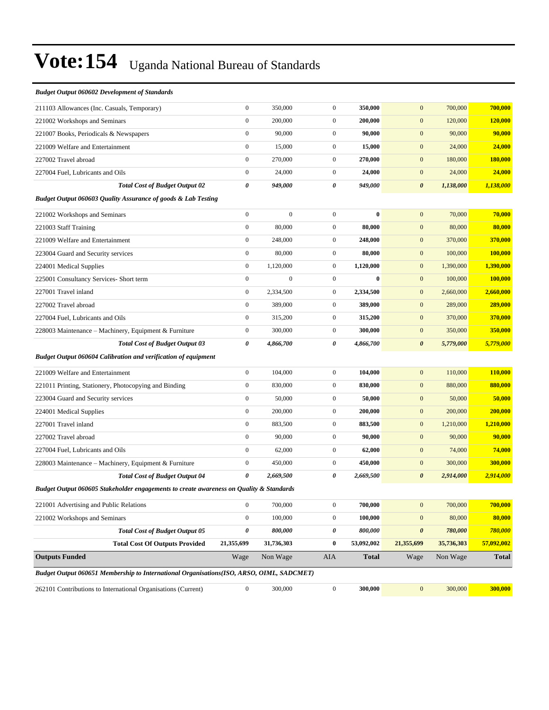| <b>Budget Output 060602 Development of Standards</b>                                      |                  |                  |                  |              |                       |            |              |
|-------------------------------------------------------------------------------------------|------------------|------------------|------------------|--------------|-----------------------|------------|--------------|
| 211103 Allowances (Inc. Casuals, Temporary)                                               | $\boldsymbol{0}$ | 350,000          | $\boldsymbol{0}$ | 350,000      | $\mathbf{0}$          | 700,000    | 700,000      |
| 221002 Workshops and Seminars                                                             | $\boldsymbol{0}$ | 200,000          | $\boldsymbol{0}$ | 200,000      | $\mathbf{0}$          | 120,000    | 120,000      |
| 221007 Books, Periodicals & Newspapers                                                    | $\boldsymbol{0}$ | 90,000           | $\mathbf{0}$     | 90,000       | $\mathbf{0}$          | 90,000     | 90,000       |
| 221009 Welfare and Entertainment                                                          | $\boldsymbol{0}$ | 15,000           | $\boldsymbol{0}$ | 15,000       | $\mathbf{0}$          | 24,000     | 24,000       |
| 227002 Travel abroad                                                                      | $\boldsymbol{0}$ | 270,000          | $\mathbf{0}$     | 270,000      | $\mathbf{0}$          | 180,000    | 180,000      |
| 227004 Fuel, Lubricants and Oils                                                          | $\boldsymbol{0}$ | 24,000           | $\mathbf{0}$     | 24,000       | $\mathbf{0}$          | 24,000     | 24,000       |
| <b>Total Cost of Budget Output 02</b>                                                     | 0                | 949,000          | 0                | 949,000      | $\boldsymbol{\theta}$ | 1,138,000  | 1,138,000    |
| Budget Output 060603 Quality Assurance of goods & Lab Testing                             |                  |                  |                  |              |                       |            |              |
| 221002 Workshops and Seminars                                                             | $\boldsymbol{0}$ | $\boldsymbol{0}$ | $\mathbf{0}$     | $\bf{0}$     | $\mathbf{0}$          | 70,000     | 70,000       |
| 221003 Staff Training                                                                     | $\boldsymbol{0}$ | 80,000           | $\boldsymbol{0}$ | 80,000       | $\mathbf{0}$          | 80,000     | 80,000       |
| 221009 Welfare and Entertainment                                                          | $\boldsymbol{0}$ | 248,000          | $\mathbf{0}$     | 248,000      | $\mathbf{0}$          | 370,000    | 370,000      |
| 223004 Guard and Security services                                                        | $\boldsymbol{0}$ | 80,000           | $\mathbf{0}$     | 80,000       | $\mathbf{0}$          | 100,000    | 100,000      |
| 224001 Medical Supplies                                                                   | $\boldsymbol{0}$ | 1,120,000        | $\mathbf{0}$     | 1,120,000    | $\mathbf{0}$          | 1,390,000  | 1,390,000    |
| 225001 Consultancy Services- Short term                                                   | $\boldsymbol{0}$ | $\boldsymbol{0}$ | $\mathbf{0}$     | $\bf{0}$     | $\mathbf{0}$          | 100,000    | 100,000      |
| 227001 Travel inland                                                                      | $\boldsymbol{0}$ | 2,334,500        | $\boldsymbol{0}$ | 2,334,500    | $\mathbf{0}$          | 2,660,000  | 2,660,000    |
| 227002 Travel abroad                                                                      | $\overline{0}$   | 389,000          | $\mathbf{0}$     | 389,000      | $\mathbf{0}$          | 289,000    | 289,000      |
| 227004 Fuel, Lubricants and Oils                                                          | $\boldsymbol{0}$ | 315,200          | $\mathbf{0}$     | 315,200      | $\mathbf{0}$          | 370,000    | 370,000      |
| 228003 Maintenance – Machinery, Equipment & Furniture                                     | $\boldsymbol{0}$ | 300,000          | $\mathbf{0}$     | 300,000      | $\mathbf{0}$          | 350,000    | 350,000      |
| <b>Total Cost of Budget Output 03</b>                                                     | 0                | 4,866,700        | 0                | 4,866,700    | $\boldsymbol{\theta}$ | 5,779,000  | 5,779,000    |
| <b>Budget Output 060604 Calibration and verification of equipment</b>                     |                  |                  |                  |              |                       |            |              |
| 221009 Welfare and Entertainment                                                          | $\boldsymbol{0}$ | 104,000          | $\boldsymbol{0}$ | 104,000      | $\mathbf{0}$          | 110,000    | 110,000      |
| 221011 Printing, Stationery, Photocopying and Binding                                     | $\boldsymbol{0}$ | 830,000          | $\mathbf{0}$     | 830,000      | $\mathbf{0}$          | 880,000    | 880,000      |
| 223004 Guard and Security services                                                        | $\boldsymbol{0}$ | 50,000           | $\boldsymbol{0}$ | 50,000       | $\mathbf{0}$          | 50,000     | 50,000       |
| 224001 Medical Supplies                                                                   | $\boldsymbol{0}$ | 200,000          | $\boldsymbol{0}$ | 200,000      | $\mathbf{0}$          | 200,000    | 200,000      |
| 227001 Travel inland                                                                      | $\boldsymbol{0}$ | 883,500          | $\mathbf{0}$     | 883,500      | $\mathbf{0}$          | 1,210,000  | 1,210,000    |
| 227002 Travel abroad                                                                      | $\boldsymbol{0}$ | 90,000           | $\boldsymbol{0}$ | 90,000       | $\mathbf{0}$          | 90,000     | 90,000       |
| 227004 Fuel, Lubricants and Oils                                                          | $\boldsymbol{0}$ | 62,000           | $\mathbf{0}$     | 62,000       | $\mathbf{0}$          | 74,000     | 74,000       |
| 228003 Maintenance – Machinery, Equipment & Furniture                                     | $\boldsymbol{0}$ | 450,000          | $\mathbf{0}$     | 450,000      | $\mathbf{0}$          | 300,000    | 300,000      |
| <b>Total Cost of Budget Output 04</b>                                                     | 0                | 2,669,500        | 0                | 2,669,500    | $\boldsymbol{\theta}$ | 2,914,000  | 2,914,000    |
| Budget Output 060605 Stakeholder engagements to create awareness on Quality & Standards   |                  |                  |                  |              |                       |            |              |
| 221001 Advertising and Public Relations                                                   | $\boldsymbol{0}$ | 700,000          | $\boldsymbol{0}$ | 700,000      | $\mathbf{0}$          | 700,000    | 700,000      |
| 221002 Workshops and Seminars                                                             | $\boldsymbol{0}$ | 100,000          | $\boldsymbol{0}$ | 100,000      | $\mathbf{0}$          | 80,000     | 80,000       |
| <b>Total Cost of Budget Output 05</b>                                                     | 0                | 800,000          | 0                | 800,000      | $\boldsymbol{\theta}$ | 780,000    | 780,000      |
| <b>Total Cost Of Outputs Provided</b>                                                     | 21,355,699       | 31,736,303       | $\bf{0}$         | 53,092,002   | 21,355,699            | 35,736,303 | 57,092,002   |
| <b>Outputs Funded</b>                                                                     | Wage             | Non Wage         | AIA              | <b>Total</b> | Wage                  | Non Wage   | <b>Total</b> |
| Budget Output 060651 Membership to International Organisations (ISO, ARSO, OIML, SADCMET) |                  |                  |                  |              |                       |            |              |
| 262101 Contributions to International Organisations (Current)                             | $\mathbf{0}$     | 300,000          | $\boldsymbol{0}$ | 300,000      | $\mathbf{0}$          | 300,000    | 300,000      |